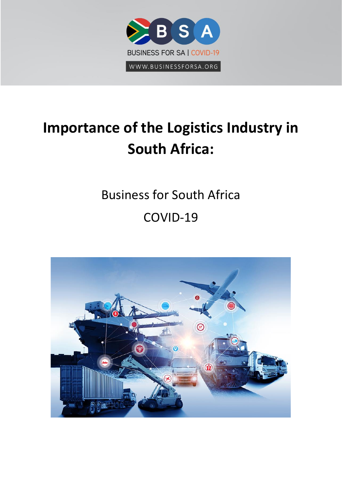

# **Importance of the Logistics Industry in South Africa:**

# Business for South Africa COVID-19

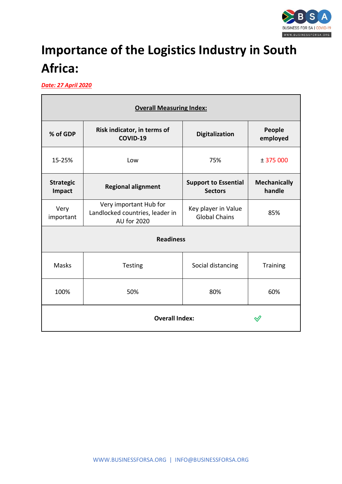

## **Importance of the Logistics Industry in South Africa:**

*Date: 27 April 2020*

| <b>Overall Measuring Index:</b> |                                                                          |                                               |                               |  |  |  |  |  |  |
|---------------------------------|--------------------------------------------------------------------------|-----------------------------------------------|-------------------------------|--|--|--|--|--|--|
| % of GDP                        | Risk indicator, in terms of<br>COVID-19                                  | <b>Digitalization</b>                         | People<br>employed            |  |  |  |  |  |  |
| 15-25%                          | Low                                                                      | 75%                                           | ± 375000                      |  |  |  |  |  |  |
| <b>Strategic</b><br>Impact      | <b>Regional alignment</b>                                                | <b>Support to Essential</b><br><b>Sectors</b> | <b>Mechanically</b><br>handle |  |  |  |  |  |  |
| Very<br>important               | Very important Hub for<br>Landlocked countries, leader in<br>AU for 2020 | Key player in Value<br><b>Global Chains</b>   | 85%                           |  |  |  |  |  |  |
|                                 | <b>Readiness</b>                                                         |                                               |                               |  |  |  |  |  |  |
| <b>Masks</b>                    | Testing                                                                  | Social distancing                             | <b>Training</b>               |  |  |  |  |  |  |
| 100%                            | 50%                                                                      | 60%                                           |                               |  |  |  |  |  |  |
| <b>Overall Index:</b>           |                                                                          |                                               |                               |  |  |  |  |  |  |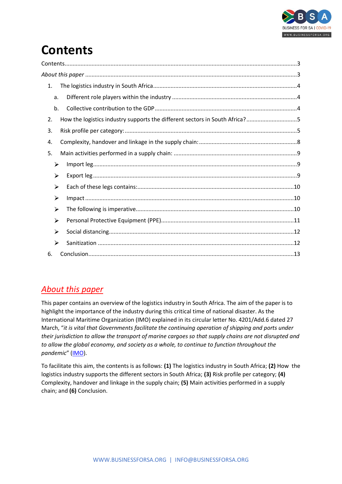

## <span id="page-2-0"></span>**Contents**

| 1. |                                                                             |  |
|----|-----------------------------------------------------------------------------|--|
| a. |                                                                             |  |
| b. |                                                                             |  |
| 2. | How the logistics industry supports the different sectors in South Africa?5 |  |
| 3. |                                                                             |  |
| 4. |                                                                             |  |
| 5. |                                                                             |  |
| ≻  |                                                                             |  |
| ≻  |                                                                             |  |
| ➤  |                                                                             |  |
| ≻  |                                                                             |  |
| ≻  |                                                                             |  |
| ≻  |                                                                             |  |
| ≻  |                                                                             |  |
| ≻  |                                                                             |  |
| 6. |                                                                             |  |

### <span id="page-2-1"></span>*About this paper*

This paper contains an overview of the logistics industry in South Africa. The aim of the paper is to highlight the importance of the industry during this critical time of national disaster. As the International Maritime Organization (IMO) explained in its circular letter No. 4201/Add.6 dated 27 March, "*it is vital that Governments facilitate the continuing operation of shipping and ports under their jurisdiction to allow the transport of marine cargoes so that supply chains are not disrupted and to allow the global economy, and society as a whole, to continue to function throughout the pandemic*" ([IMO\)](http://www.imo.org/en/MediaCentre/HotTopics/Pages/Coronavirus.aspx).

To facilitate this aim, the contents is as follows: **(1)** The logistics industry in South Africa; **(2)** How the logistics industry supports the different sectors in South Africa; **(3)** Risk profile per category; **(4)** Complexity, handover and linkage in the supply chain; **(5)** Main activities performed in a supply chain; and **(6)** Conclusion.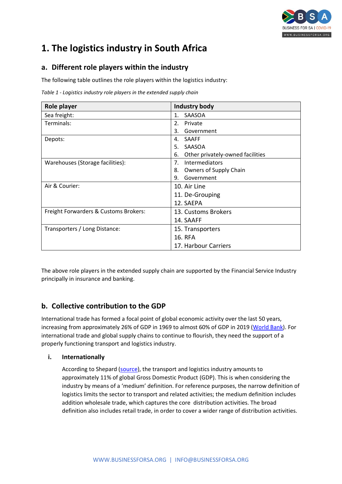

### <span id="page-3-0"></span>**1. The logistics industry in South Africa**

#### <span id="page-3-1"></span>**a. Different role players within the industry**

The following table outlines the role players within the logistics industry:

*Table 1 - Logistics industry role players in the extended supply chain* 

| Role player                           | <b>Industry body</b>                   |
|---------------------------------------|----------------------------------------|
| Sea freight:                          | SAASOA<br>$\mathbf{1}$ .               |
| Terminals:                            | $\mathfrak{D}$ .<br>Private            |
|                                       | Government<br>3.                       |
| Depots:                               | <b>SAAFF</b><br>4.                     |
|                                       | SAASOA<br>5.                           |
|                                       | Other privately-owned facilities<br>6. |
| Warehouses (Storage facilities):      | 7 <sub>1</sub><br>Intermediators       |
|                                       | Owners of Supply Chain<br>8.           |
|                                       | Government<br>9.                       |
| Air & Courier:                        | 10. Air Line                           |
|                                       | 11. De-Grouping                        |
|                                       | 12. SAEPA                              |
| Freight Forwarders & Customs Brokers: | 13. Customs Brokers                    |
|                                       | 14. SAAFF                              |
| Transporters / Long Distance:         | 15. Transporters                       |
|                                       | <b>16. RFA</b>                         |
|                                       | 17. Harbour Carriers                   |

The above role players in the extended supply chain are supported by the Financial Service Industry principally in insurance and banking.

### <span id="page-3-2"></span>**b. Collective contribution to the GDP**

International trade has formed a focal point of global economic activity over the last 50 years, increasing from approximately 26% of GDP in 1969 to almost 60% of GDP in 2019 [\(World Bank\)](http://datatopics.worldbank.org/world-development-indicators/). For international trade and global supply chains to continue to flourish, they need the support of a properly functioning transport and logistics industry.

#### **i. Internationally**

According to Shepard [\(source\)](file:///C:/Users/vanre/Downloads/Logistics_costs_and_competitiveness_measurement_an.pdf), the transport and logistics industry amounts to approximately 11% of global Gross Domestic Product (GDP). This is when considering the industry by means of a 'medium' definition. For reference purposes, the narrow definition of logistics limits the sector to transport and related activities; the medium definition includes addition wholesale trade, which captures the core distribution activities. The broad definition also includes retail trade, in order to cover a wider range of distribution activities.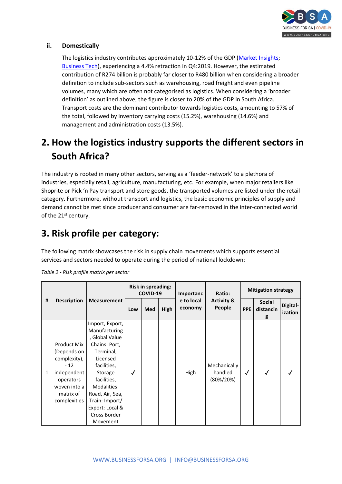

#### **ii. Domestically**

The logistics industry contributes approximately 10-12% of the GDP [\(Market Insights;](https://www.southafricanmi.com/south-africas-gdp.html) [Business Tech\)](https://businesstech.co.za/news/business/337781/the-r480-billion-industry-that-has-flown-under-the-radar-in-south-africa-until-now/), experiencing a 4.4% retraction in Q4:2019. However, the estimated contribution of R274 billion is probably far closer to R480 billion when considering a broader definition to include sub-sectors such as warehousing, road freight and even pipeline volumes, many which are often not categorised as logistics. When considering a 'broader definition' as outlined above, the figure is closer to 20% of the GDP in South Africa. Transport costs are the dominant contributor towards logistics costs, amounting to 57% of the total, followed by inventory carrying costs (15.2%), warehousing (14.6%) and management and administration costs (13.5%).

### <span id="page-4-0"></span>**2. How the logistics industry supports the different sectors in South Africa?**

The industry is rooted in many other sectors, serving as a 'feeder-network' to a plethora of industries, especially retail, agriculture, manufacturing, etc. For example, when major retailers like Shoprite or Pick 'n Pay transport and store goods, the transported volumes are listed under the retail category. Furthermore, without transport and logistics, the basic economic principles of supply and demand cannot be met since producer and consumer are far-removed in the inter-connected world of the 21<sup>st</sup> century.

### <span id="page-4-1"></span>**3. Risk profile per category:**

The following matrix showcases the risk in supply chain movements which supports essential services and sectors needed to operate during the period of national lockdown:

| # | <b>Description</b>                                                                                                           | <b>Measurement</b>                                                                                                                                                                                                                       | <b>Risk in spreading:</b><br>COVID-19 |     |      | Importanc             | Ratio:                                   | <b>Mitigation strategy</b> |                                 |                     |
|---|------------------------------------------------------------------------------------------------------------------------------|------------------------------------------------------------------------------------------------------------------------------------------------------------------------------------------------------------------------------------------|---------------------------------------|-----|------|-----------------------|------------------------------------------|----------------------------|---------------------------------|---------------------|
|   |                                                                                                                              |                                                                                                                                                                                                                                          | Low                                   | Med | High | e to local<br>economy | <b>Activity &amp;</b><br>People          | <b>PPE</b>                 | <b>Social</b><br>distancin<br>g | Digital-<br>ization |
| 1 | Product Mix<br>(Depends on<br>complexity),<br>$-12$<br>independent<br>operators<br>woven into a<br>matrix of<br>complexities | Import, Export,<br>Manufacturing<br>, Global Value<br>Chains: Port,<br>Terminal,<br>Licensed<br>facilities,<br>Storage<br>facilities,<br>Modalities:<br>Road, Air, Sea,<br>Train: Import/<br>Export: Local &<br>Cross Border<br>Movement | √                                     |     |      | High                  | Mechanically<br>handled<br>$(80\%/20\%)$ | $\checkmark$               |                                 |                     |

*Table 2 - Risk profile matrix per sector*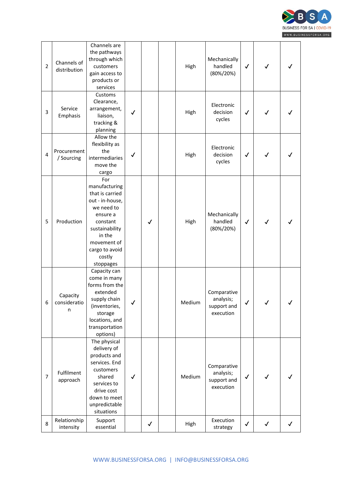

| $\overline{2}$ | Channels of<br>distribution   | Channels are<br>the pathways<br>through which<br>customers<br>gain access to<br>products or<br>services                                                                              |              |              | High   | Mechanically<br>handled<br>$(80\%/20\%)$             | $\checkmark$ | ✓            |              |
|----------------|-------------------------------|--------------------------------------------------------------------------------------------------------------------------------------------------------------------------------------|--------------|--------------|--------|------------------------------------------------------|--------------|--------------|--------------|
| 3              | Service<br>Emphasis           | Customs<br>Clearance,<br>arrangement,<br>liaison,<br>tracking &<br>planning                                                                                                          | ✓            |              | High   | Electronic<br>decision<br>cycles                     | $\checkmark$ | ✓            |              |
| $\overline{4}$ | Procurement<br>/ Sourcing     | Allow the<br>flexibility as<br>the<br>intermediaries<br>move the<br>cargo                                                                                                            | $\checkmark$ |              | High   | Electronic<br>decision<br>cycles                     | $\checkmark$ | $\checkmark$ |              |
| 5              | Production                    | For<br>manufacturing<br>that is carried<br>out - in-house,<br>we need to<br>ensure a<br>constant<br>sustainability<br>in the<br>movement of<br>cargo to avoid<br>costly<br>stoppages |              | $\checkmark$ | High   | Mechanically<br>handled<br>$(80\%/20\%)$             | $\checkmark$ | $\checkmark$ |              |
| 6              | Capacity<br>consideratio<br>n | Capacity can<br>come in many<br>forms from the<br>extended<br>supply chain<br>(inventories,<br>storage<br>locations, and<br>transportation<br>options)                               | $\checkmark$ |              | Medium | Comparative<br>analysis;<br>support and<br>execution | $\checkmark$ | $\checkmark$ | $\checkmark$ |
| $\overline{7}$ | Fulfilment<br>approach        | The physical<br>delivery of<br>products and<br>services. End<br>customers<br>shared<br>services to<br>drive cost<br>down to meet<br>unpredictable<br>situations                      | $\checkmark$ |              | Medium | Comparative<br>analysis;<br>support and<br>execution | $\checkmark$ | J            |              |
| 8              | Relationship<br>intensity     | Support<br>essential                                                                                                                                                                 |              | $\checkmark$ | High   | Execution<br>strategy                                | $\checkmark$ | $\checkmark$ | $\checkmark$ |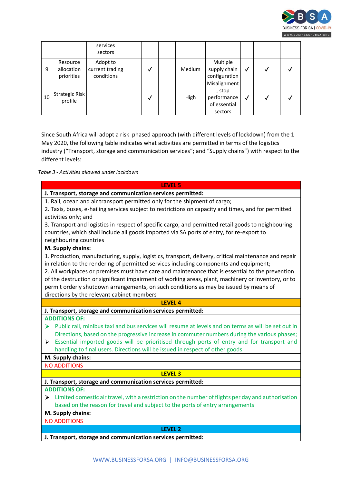

|    |                           | services<br>sectors         |  |               |                                                       |   |  |
|----|---------------------------|-----------------------------|--|---------------|-------------------------------------------------------|---|--|
| 9  | Resource<br>allocation    | Adopt to<br>current trading |  | <b>Medium</b> | Multiple<br>supply chain                              | √ |  |
|    | priorities                | conditions                  |  |               | configuration                                         |   |  |
| 10 | Strategic Risk<br>profile |                             |  | High          | Misalignment<br>; stop<br>performance<br>of essential | √ |  |
|    |                           |                             |  |               | sectors                                               |   |  |

Since South Africa will adopt a risk phased approach (with different levels of lockdown) from the 1 May 2020, the following table indicates what activities are permitted in terms of the logistics industry ("Transport, storage and communication services"; and "Supply chains") with respect to the different levels:

*Table 3 - Activities allowed under lockdown*

| <b>LEVEL 5</b>                                                                                                      |
|---------------------------------------------------------------------------------------------------------------------|
| J. Transport, storage and communication services permitted:                                                         |
| 1. Rail, ocean and air transport permitted only for the shipment of cargo;                                          |
| 2. Taxis, buses, e-hailing services subject to restrictions on capacity and times, and for permitted                |
| activities only; and                                                                                                |
| 3. Transport and logistics in respect of specific cargo, and permitted retail goods to neighbouring                 |
| countries, which shall include all goods imported via SA ports of entry, for re-export to                           |
| neighbouring countries                                                                                              |
| M. Supply chains:                                                                                                   |
| 1. Production, manufacturing, supply, logistics, transport, delivery, critical maintenance and repair               |
| in relation to the rendering of permitted services including components and equipment;                              |
| 2. All workplaces or premises must have care and maintenance that is essential to the prevention                    |
| of the destruction or significant impairment of working areas, plant, machinery or inventory, or to                 |
| permit orderly shutdown arrangements, on such conditions as may be issued by means of                               |
| directions by the relevant cabinet members                                                                          |
| <b>LEVEL 4</b>                                                                                                      |
|                                                                                                                     |
| J. Transport, storage and communication services permitted:                                                         |
| <b>ADDITIONS OF:</b>                                                                                                |
| Public rail, minibus taxi and bus services will resume at levels and on terms as will be set out in<br>➤            |
| Directions, based on the progressive increase in commuter numbers during the various phases;                        |
| Essential imported goods will be prioritised through ports of entry and for transport and<br>➤                      |
| handling to final users. Directions will be issued in respect of other goods                                        |
| M. Supply chains:                                                                                                   |
| <b>NO ADDITIONS</b>                                                                                                 |
| <b>LEVEL 3</b>                                                                                                      |
| J. Transport, storage and communication services permitted:                                                         |
| <b>ADDITIONS OF:</b>                                                                                                |
| $\triangleright$ Limited domestic air travel, with a restriction on the number of flights per day and authorisation |
| based on the reason for travel and subject to the ports of entry arrangements                                       |
| M. Supply chains:                                                                                                   |
| <b>NO ADDITIONS</b>                                                                                                 |

**J. Transport, storage and communication services permitted:**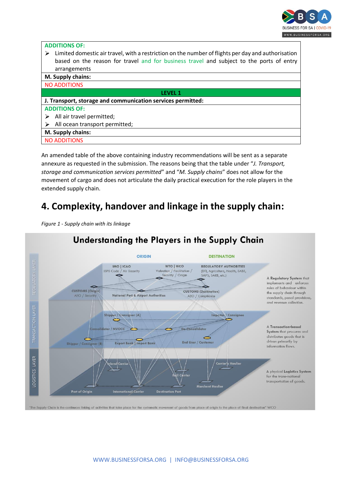

| <b>ADDITIONS OF:</b>                                                                                    |  |  |  |  |  |  |
|---------------------------------------------------------------------------------------------------------|--|--|--|--|--|--|
| Limited domestic air travel, with a restriction on the number of flights per day and authorisation<br>⋗ |  |  |  |  |  |  |
| based on the reason for travel and for business travel and subject to the ports of entry                |  |  |  |  |  |  |
| arrangements                                                                                            |  |  |  |  |  |  |
| M. Supply chains:                                                                                       |  |  |  |  |  |  |
| <b>NO ADDITIONS</b>                                                                                     |  |  |  |  |  |  |
| I FVFI-1                                                                                                |  |  |  |  |  |  |
| J. Transport, storage and communication services permitted:                                             |  |  |  |  |  |  |
| <b>ADDITIONS OF:</b>                                                                                    |  |  |  |  |  |  |
| All air travel permitted;                                                                               |  |  |  |  |  |  |
| All ocean transport permitted;                                                                          |  |  |  |  |  |  |
| M. Supply chains:                                                                                       |  |  |  |  |  |  |
| <b>NO ADDITIONS</b>                                                                                     |  |  |  |  |  |  |

An amended table of the above containing industry recommendations will be sent as a separate annexure as requested in the submission. The reasons being that the table under "*J. Transport, storage and communication services permitted*" and "*M. Supply chains*" does not allow for the movement of cargo and does not articulate the daily practical execution for the role players in the extended supply chain.

### <span id="page-7-0"></span>**4. Complexity, handover and linkage in the supply chain:**

*Figure 1 - Supply chain with its linkage* 



### Understanding the Players in the Supply Chain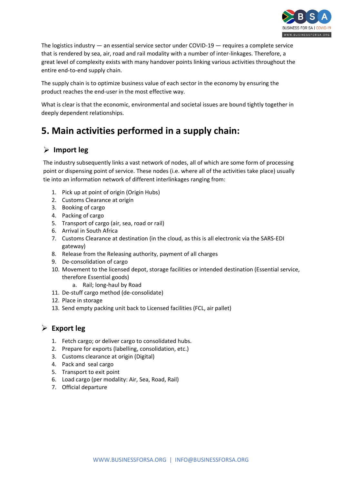

The logistics industry — an essential service sector under COVID-19 — requires a complete service that is rendered by sea, air, road and rail modality with a number of inter-linkages. Therefore, a great level of complexity exists with many handover points linking various activities throughout the entire end-to-end supply chain.

The supply chain is to optimize business value of each sector in the economy by ensuring the product reaches the end-user in the most effective way.

What is clear is that the economic, environmental and societal issues are bound tightly together in deeply dependent relationships.

### <span id="page-8-0"></span>**5. Main activities performed in a supply chain:**

#### <span id="page-8-1"></span>**Import leg**

The industry subsequently links a vast network of nodes, all of which are some form of processing point or dispensing point of service. These nodes (i.e. where all of the activities take place) usually tie into an information network of different interlinkages ranging from:

- 1. Pick up at point of origin (Origin Hubs)
- 2. Customs Clearance at origin
- 3. Booking of cargo
- 4. Packing of cargo
- 5. Transport of cargo (air, sea, road or rail)
- 6. Arrival in South Africa
- 7. Customs Clearance at destination (in the cloud, as this is all electronic via the SARS-EDI gateway)
- 8. Release from the Releasing authority, payment of all charges
- 9. De-consolidation of cargo
- 10. Movement to the licensed depot, storage facilities or intended destination (Essential service, therefore Essential goods)
	- a. Rail; long-haul by Road
- 11. De-stuff cargo method (de-consolidate)
- 12. Place in storage
- 13. Send empty packing unit back to Licensed facilities (FCL, air pallet)

### <span id="page-8-2"></span>**Export leg**

- 1. Fetch cargo; or deliver cargo to consolidated hubs.
- 2. Prepare for exports (labelling, consolidation, etc.)
- 3. Customs clearance at origin (Digital)
- 4. Pack and seal cargo
- 5. Transport to exit point
- 6. Load cargo (per modality: Air, Sea, Road, Rail)
- 7. Official departure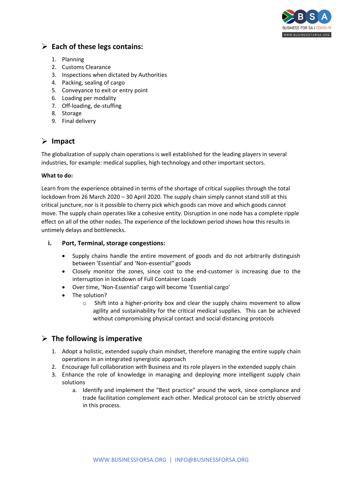

### <span id="page-9-0"></span>**Each of these legs contains:**

- 1. Planning
- 2. Customs Clearance
- 3. Inspections when dictated by Authorities
- 4. Packing, sealing of cargo
- 5. Conveyance to exit or entry point
- 6. Loading per modality
- 7. Off-loading, de-stuffing
- 8. Storage
- 9. Final delivery

### <span id="page-9-1"></span>**Impact**

The globalization of supply chain operations is well established for the leading players in several industries, for example: medical supplies, high technology and other important sectors.

#### **What to do:**

Learn from the experience obtained in terms of the shortage of critical supplies through the total lockdown from 26 March 2020 – 30 April 2020. The supply chain simply cannot stand still at this critical juncture, nor is it possible to cherry pick which goods can move and which goods cannot move. The supply chain operates like a cohesive entity. Disruption in one node has a complete ripple effect on all of the other nodes. The experience of the lockdown period shows how this results in untimely delays and bottlenecks.

#### **i. Port, Terminal, storage congestions:**

- Supply chains handle the entire movement of goods and do not arbitrarily distinguish between 'Essential' and 'Non-essential" goods
- Closely monitor the zones, since cost to the end-customer is increasing due to the interruption in lockdown of Full Container Loads
- Over time, 'Non-Essential' cargo will become 'Essential cargo'
- The solution?
	- $\circ$  Shift into a higher-priority box and clear the supply chains movement to allow agility and sustainability for the critical medical supplies. This can be achieved without compromising physical contact and social distancing protocols

### <span id="page-9-2"></span>**The following is imperative**

- 1. Adopt a holistic, extended supply chain mindset, therefore managing the entire supply chain operations in an integrated synergistic approach
- 2. Encourage full collaboration with Business and its role players in the extended supply chain
- 3. Enhance the role of knowledge in managing and deploying more intelligent supply chain solutions
	- a. Identify and implement the "Best practice" around the work, since compliance and trade facilitation complement each other. Medical protocol can be strictly observed in this process.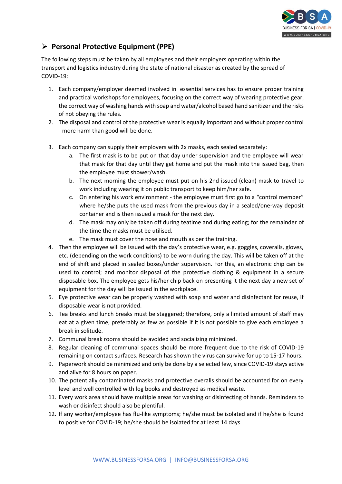

### <span id="page-10-0"></span>**Personal Protective Equipment (PPE)**

The following steps must be taken by all employees and their employers operating within the transport and logistics industry during the state of national disaster as created by the spread of COVID-19:

- 1. Each company/employer deemed involved in essential services has to ensure proper training and practical workshops for employees, focusing on the correct way of wearing protective gear, the correct way of washing hands with soap and water/alcohol based hand sanitizer and the risks of not obeying the rules.
- 2. The disposal and control of the protective wear is equally important and without proper control - more harm than good will be done.
- 3. Each company can supply their employers with 2x masks, each sealed separately:
	- a. The first mask is to be put on that day under supervision and the employee will wear that mask for that day until they get home and put the mask into the issued bag, then the employee must shower/wash.
	- b. The next morning the employee must put on his 2nd issued (clean) mask to travel to work including wearing it on public transport to keep him/her safe.
	- c. On entering his work environment the employee must first go to a "control member" where he/she puts the used mask from the previous day in a sealed/one-way deposit container and is then issued a mask for the next day.
	- d. The mask may only be taken off during teatime and during eating; for the remainder of the time the masks must be utilised.
	- e. The mask must cover the nose and mouth as per the training.
- 4. Then the employee will be issued with the day's protective wear, e.g. goggles, coveralls, gloves, etc. (depending on the work conditions) to be worn during the day. This will be taken off at the end of shift and placed in sealed boxes/under supervision. For this, an electronic chip can be used to control; and monitor disposal of the protective clothing & equipment in a secure disposable box. The employee gets his/her chip back on presenting it the next day a new set of equipment for the day will be issued in the workplace.
- 5. Eye protective wear can be properly washed with soap and water and disinfectant for reuse, if disposable wear is not provided.
- 6. Tea breaks and lunch breaks must be staggered; therefore, only a limited amount of staff may eat at a given time, preferably as few as possible if it is not possible to give each employee a break in solitude.
- 7. Communal break rooms should be avoided and socializing minimized.
- 8. Regular cleaning of communal spaces should be more frequent due to the risk of COVID-19 remaining on contact surfaces. Research has shown the virus can survive for up to 15-17 hours.
- 9. Paperwork should be minimized and only be done by a selected few, since COVID-19 stays active and alive for 8 hours on paper.
- 10. The potentially contaminated masks and protective overalls should be accounted for on every level and well controlled with log books and destroyed as medical waste.
- 11. Every work area should have multiple areas for washing or disinfecting of hands. Reminders to wash or disinfect should also be plentiful.
- 12. If any worker/employee has flu-like symptoms; he/she must be isolated and if he/she is found to positive for COVID-19; he/she should be isolated for at least 14 days.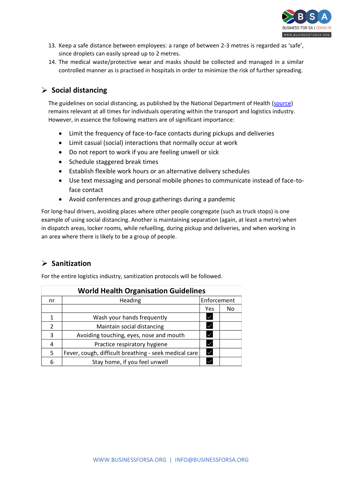

- 13. Keep a safe distance between employees: a range of between 2-3 metres is regarded as 'safe', since droplets can easily spread up to 2 metres.
- 14. The medical waste/protective wear and masks should be collected and managed in a similar controlled manner as is practised in hospitals in order to minimize the risk of further spreading.

### <span id="page-11-0"></span>**Social distancing**

The guidelines on social distancing, as published by the National Department of Health [\(source\)](https://sacoronavirus.co.za/2020/03/16/social-distancing-guidelines/) remains relevant at all times for individuals operating within the transport and logistics industry. However, in essence the following matters are of significant importance:

- Limit the frequency of face-to-face contacts during pickups and deliveries
- Limit casual (social) interactions that normally occur at work
- Do not report to work if you are feeling unwell or sick
- Schedule staggered break times
- Establish flexible work hours or an alternative delivery schedules
- Use text messaging and personal mobile phones to communicate instead of face-toface contact
- Avoid conferences and group gatherings during a pandemic

For long-haul drivers, avoiding places where other people congregate (such as truck stops) is one example of using social distancing. Another is maintaining separation (again, at least a metre) when in dispatch areas, locker rooms, while refuelling, during pickup and deliveries, and when working in an area where there is likely to be a group of people.

### <span id="page-11-1"></span>**Sanitization**

For the entire logistics industry, sanitization protocols will be followed.

| <b>World Health Organisation Guidelines</b> |                                                       |              |    |  |  |  |  |
|---------------------------------------------|-------------------------------------------------------|--------------|----|--|--|--|--|
| nr                                          | Enforcement<br>Heading                                |              |    |  |  |  |  |
|                                             |                                                       | Yes          | No |  |  |  |  |
| 1                                           | Wash your hands frequently                            | $\checkmark$ |    |  |  |  |  |
| $\mathcal{P}$                               | Maintain social distancing                            | $\checkmark$ |    |  |  |  |  |
| 3                                           | Avoiding touching, eyes, nose and mouth               | $\checkmark$ |    |  |  |  |  |
| 4                                           | Practice respiratory hygiene                          | $\checkmark$ |    |  |  |  |  |
| 5.                                          | Fever, cough, difficult breathing - seek medical care | $\checkmark$ |    |  |  |  |  |
| 6                                           | Stay home, if you feel unwell                         | $\checkmark$ |    |  |  |  |  |